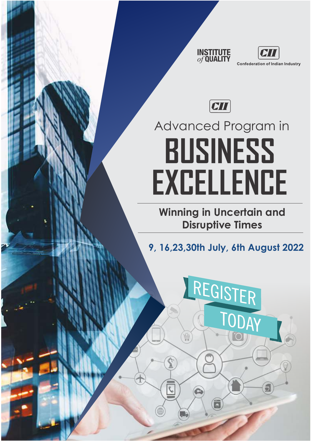





# Advanced Program in **BUSINESS EXCELLENCE**

**Winning in Uncertain and Disruptive Times**

**9, 16,23,30th July, 6th August 2022**

REGISTER

TODAY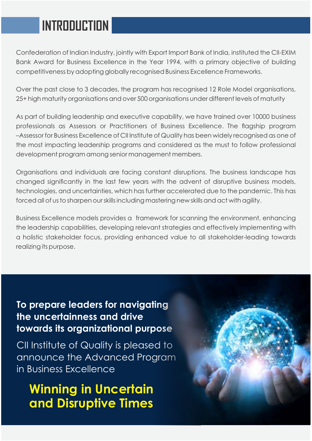### **INTRODUCTION**

Confederation of Indian Industry, jointly with Export Import Bank of India, instituted the CII-EXIM Bank Award for Business Excellence in the Year 1994, with a primary objective of building competitiveness by adopting globally recognised Business Excellence Frameworks.

Over the past close to 3 decades, the program has recognised 12 Role Model organisations, 25+ high maturity organisations and over 500 organisations under different levels of maturity

As part of building leadership and executive capability, we have trained over 10000 business professionals as Assessors or Practitioners of Business Excellence. The flagship program –Assessor for Business Excellence of CII Institute of Quality has been widely recognised as one of the most impacting leadership programs and considered as the must to follow professional development program among senior management members.

Organisations and individuals are facing constant disruptions. The business landscape has changed significantly in the last few years with the advent of disruptive business models, technologies, and uncertainties, which has further accelerated due to the pandemic. This has forced all of us to sharpen our skills including mastering new skills and act with agility.

Business Excellence models provides a framework for scanning the environment, enhancing the leadership capabilities, developing relevant strategies and effectively implementing with a holistic stakeholder focus, providing enhanced value to all stakeholder-leading towards realizing its purpose.

### **To prepare leaders for navigating the uncertainness and drive towards its organizational purpose**

CII Institute of Quality is pleased to announce the Advanced Program in Business Excellence

### **Winning in Uncertain and Disruptive Times**

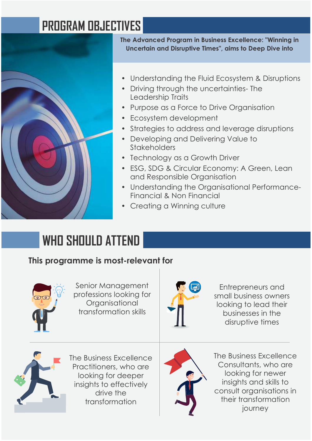### **PROGRAM OBJECTIVES**



**The Advanced Program in Business Excellence: "Winning in Uncertain and Disruptive Times", aims to Deep Dive into**

- Understanding the Fluid Ecosystem & Disruptions
- Driving through the uncertainties- The Leadership Traits
- Purpose as a Force to Drive Organisation
- Ecosystem development
- Strategies to address and leverage disruptions
- Developing and Delivering Value to Stakeholders
- Technology as a Growth Driver
- ESG, SDG & Circular Economy: A Green, Lean and Responsible Organisation
- Understanding the Organisational Performance-Financial & Non Financial
- Creating a Winning culture

## **WHO SHOULD ATTEND**

### **This programme is most-relevant for**



Senior Management professions looking for **Organisational** transformation skills



Entrepreneurs and small business owners looking to lead their businesses in the disruptive times



The Business Excellence Practitioners, who are looking for deeper insights to effectively drive the transformation



The Business Excellence Consultants, who are looking for newer insights and skills to consult organisations in their transformation journey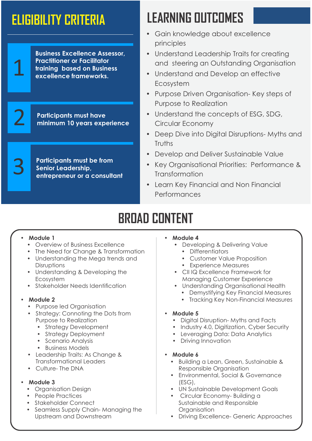1

2

3

**Business Excellence Assessor, Practitioner or Facilitator training based on Business excellence frameworks.**

**Participants must have minimum 10 years experience**

**Participants must be from Senior Leadership, entrepreneur or a consultant** 

## **ELIGIBILITY CRITERIA LEARNING OUTCOMES**

- Gain knowledge about excellence principles
- Understand Leadership Traits for creating and steering an Outstanding Organisation
- Understand and Develop an effective Ecosystem
- Purpose Driven Organisation- Key steps of Purpose to Realization
- Understand the concepts of ESG, SDG, Circular Economy
- Deep Dive into Digital Disruptions- Myths and **Truths**
- Develop and Deliver Sustainable Value
- Key Organisational Priorities: Performance & **Transformation**
- Learn Key Financial and Non Financial Performances

### **BROAD CONTENT**

#### **Module 1**

- Overview of Business Excellence
- The Need for Change & Transformation
- Understanding the Mega trends and **Disruptions**
- Understanding & Developing the Ecosystem
- Stakeholder Needs Identification

#### **Module 2**

- Purpose led Organisation
- Strategy: Connoting the Dots from Purpose to Realization
	- Strategy Development
	- Strategy Deployment
	- Scenario Analysis
	- Business Models
- Leadership Traits: As Change & Transformational Leaders
- Culture- The DNA

#### **Module 3**

- Organisation Design
- People Practices
- Stakeholder Connect
- Seamless Supply Chain- Managing the Upstream and Downstream

#### • Module 4

- Developing & Delivering Value
	- Differentiators
	- Customer Value Proposition
	- Experience Measures
- CII IQ Excellence Framework for Managing Customer Experience
- Understanding Organisational Health
	- Demystifying Key Financial Measures
	- Tracking Key Non-Financial Measures
- Module 5
	- Digital Disruption- Myths and Facts
	- Industry 4.0, Digitization, Cyber Security
	- Leveraging Data: Data Analytics
	- Driving Innovation
- **Module 6** 
	- **•** Building a Lean, Green, Sustainable & Responsible Organisation
	- Environmental, Social & Governance (ESG),
	- UN Sustainable Development Goals
	- Circular Economy- Building a Sustainable and Responsible **Organisation**
	- Driving Excellence- Generic Approaches